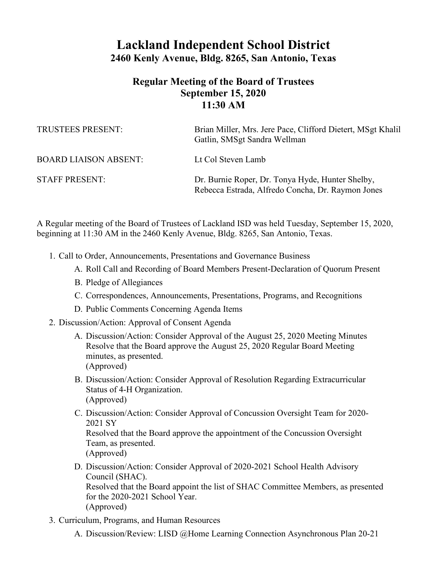## **Lackland Independent School District 2460 Kenly Avenue, Bldg. 8265, San Antonio, Texas**

## **Regular Meeting of the Board of Trustees September 15, 2020 11:30 AM**

| <b>TRUSTEES PRESENT:</b>     | Brian Miller, Mrs. Jere Pace, Clifford Dietert, MSgt Khalil<br>Gatlin, SMSgt Sandra Wellman           |
|------------------------------|-------------------------------------------------------------------------------------------------------|
| <b>BOARD LIAISON ABSENT:</b> | Lt Col Steven Lamb                                                                                    |
| <b>STAFF PRESENT:</b>        | Dr. Burnie Roper, Dr. Tonya Hyde, Hunter Shelby,<br>Rebecca Estrada, Alfredo Concha, Dr. Raymon Jones |

A Regular meeting of the Board of Trustees of Lackland ISD was held Tuesday, September 15, 2020, beginning at 11:30 AM in the 2460 Kenly Avenue, Bldg. 8265, San Antonio, Texas.

- 1. Call to Order, Announcements, Presentations and Governance Business
	- A. Roll Call and Recording of Board Members Present-Declaration of Quorum Present
	- B. Pledge of Allegiances
	- C. Correspondences, Announcements, Presentations, Programs, and Recognitions
	- D. Public Comments Concerning Agenda Items

## 2. Discussion/Action: Approval of Consent Agenda

- A. Discussion/Action: Consider Approval of the August 25, 2020 Meeting Minutes Resolve that the Board approve the August 25, 2020 Regular Board Meeting minutes, as presented. (Approved)
- B. Discussion/Action: Consider Approval of Resolution Regarding Extracurricular Status of 4-H Organization. (Approved)
- C. Discussion/Action: Consider Approval of Concussion Oversight Team for 2020- 2021 SY

Resolved that the Board approve the appointment of the Concussion Oversight Team, as presented. (Approved)

- D. Discussion/Action: Consider Approval of 2020-2021 School Health Advisory Council (SHAC). Resolved that the Board appoint the list of SHAC Committee Members, as presented for the 2020-2021 School Year. (Approved)
- 3. Curriculum, Programs, and Human Resources

A. Discussion/Review: LISD @Home Learning Connection Asynchronous Plan 20-21